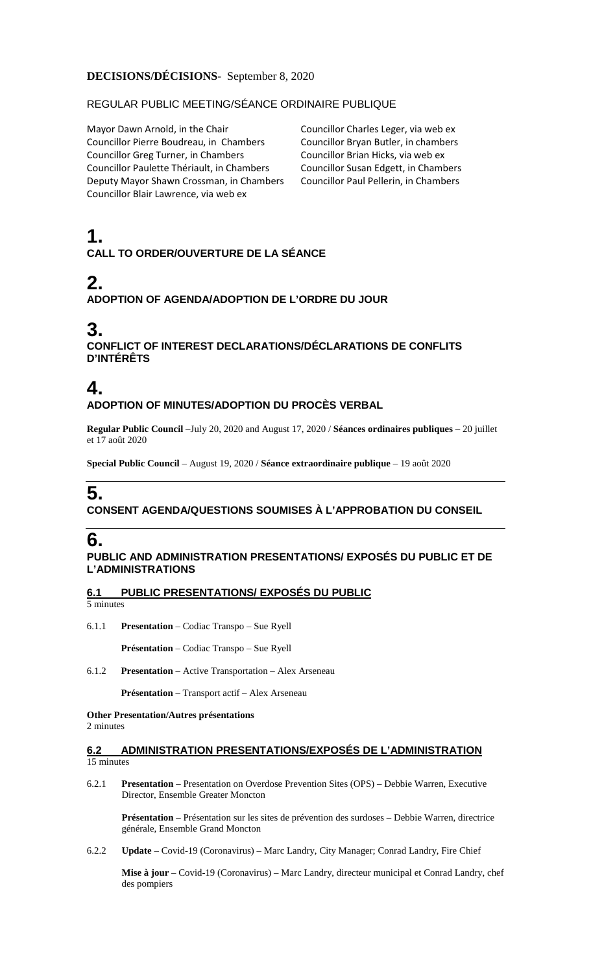## **DECISIONS/DÉCISIONS**- September 8, 2020

## REGULAR PUBLIC MEETING/SÉANCE ORDINAIRE PUBLIQUE

Mayor Dawn Arnold, in the Chair Councillor Pierre Boudreau, in Chambers Councillor Greg Turner, in Chambers Councillor Paulette Thériault, in Chambers Deputy Mayor Shawn Crossman, in Chambers Councillor Blair Lawrence, via web ex

Councillor Charles Leger, via web ex Councillor Bryan Butler, in chambers Councillor Brian Hicks, via web ex Councillor Susan Edgett, in Chambers Councillor Paul Pellerin, in Chambers

# **1. CALL TO ORDER/OUVERTURE DE LA SÉANCE**

# **2.**

## **ADOPTION OF AGENDA/ADOPTION DE L'ORDRE DU JOUR**

# **3.**

**CONFLICT OF INTEREST DECLARATIONS/DÉCLARATIONS DE CONFLITS D'INTÉRÊTS**

# **4. ADOPTION OF MINUTES/ADOPTION DU PROCÈS VERBAL**

**Regular Public Council** –July 20, 2020 and August 17, 2020 / **Séances ordinaires publiques** – 20 juillet et 17 août 2020

**Special Public Council** – August 19, 2020 / **Séance extraordinaire publique** – 19 août 2020

# **5. CONSENT AGENDA/QUESTIONS SOUMISES À L'APPROBATION DU CONSEIL**

# **6.**

## **PUBLIC AND ADMINISTRATION PRESENTATIONS/ EXPOSÉS DU PUBLIC ET DE L'ADMINISTRATIONS**

**6.1 PUBLIC PRESENTATIONS/ EXPOSÉS DU PUBLIC**

5 minutes

6.1.1 **Presentation** – Codiac Transpo – Sue Ryell

**Présentation** – Codiac Transpo – Sue Ryell

6.1.2 **Presentation** – Active Transportation – Alex Arseneau

**Présentation** – Transport actif – Alex Arseneau

**Other Presentation/Autres présentations**  2 minutes

## **6.2 ADMINISTRATION PRESENTATIONS/EXPOSÉS DE L'ADMINISTRATION**  15 minutes

6.2.1 **Presentation** – Presentation on Overdose Prevention Sites (OPS) – Debbie Warren, Executive Director, Ensemble Greater Moncton

**Présentation** – Présentation sur les sites de prévention des surdoses – Debbie Warren, directrice générale, Ensemble Grand Moncton

6.2.2 **Update** – Covid-19 (Coronavirus) – Marc Landry, City Manager; Conrad Landry, Fire Chief

**Mise à jour** – Covid-19 (Coronavirus) – Marc Landry, directeur municipal et Conrad Landry, chef des pompiers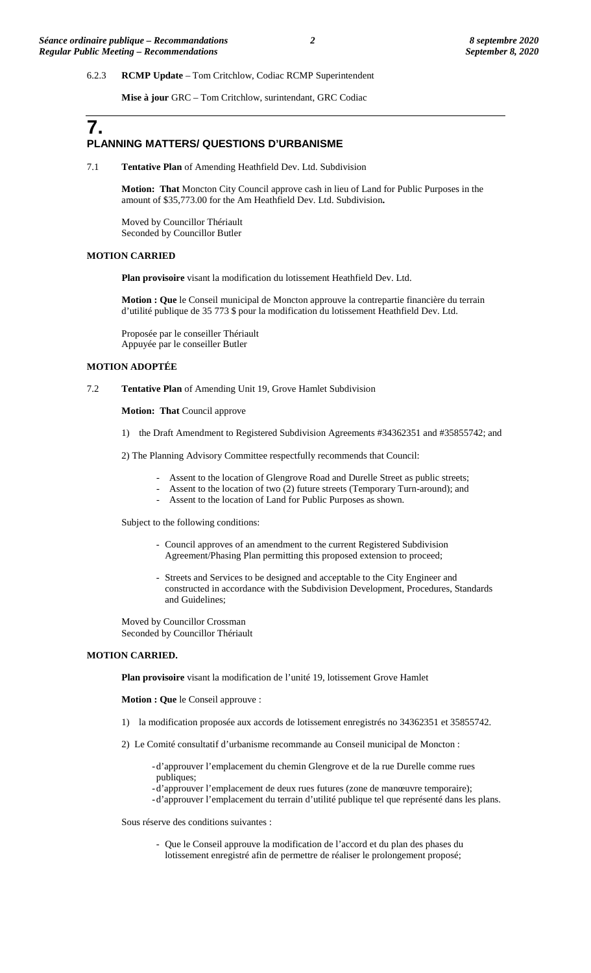### 6.2.3 **RCMP Update** – Tom Critchlow, Codiac RCMP Superintendent

**Mise à jour** GRC – Tom Critchlow, surintendant, GRC Codiac

# **7. PLANNING MATTERS/ QUESTIONS D'URBANISME**

7.1 **Tentative Plan** of Amending Heathfield Dev. Ltd. Subdivision

**Motion: That** Moncton City Council approve cash in lieu of Land for Public Purposes in the amount of \$35,773.00 for the Am Heathfield Dev. Ltd. Subdivision**.**

Moved by Councillor Thériault Seconded by Councillor Butler

#### **MOTION CARRIED**

**Plan provisoire** visant la modification du lotissement Heathfield Dev. Ltd.

**Motion : Que** le Conseil municipal de Moncton approuve la contrepartie financière du terrain d'utilité publique de 35 773 \$ pour la modification du lotissement Heathfield Dev. Ltd.

Proposée par le conseiller Thériault Appuyée par le conseiller Butler

### **MOTION ADOPTÉE**

### 7.2 **Tentative Plan** of Amending Unit 19, Grove Hamlet Subdivision

**Motion: That Council approve** 

1) the Draft Amendment to Registered Subdivision Agreements #34362351 and #35855742; and

2) The Planning Advisory Committee respectfully recommends that Council:

- Assent to the location of Glengrove Road and Durelle Street as public streets;
- Assent to the location of two (2) future streets (Temporary Turn-around); and
- Assent to the location of Land for Public Purposes as shown.

Subject to the following conditions:

- Council approves of an amendment to the current Registered Subdivision Agreement/Phasing Plan permitting this proposed extension to proceed;
- Streets and Services to be designed and acceptable to the City Engineer and constructed in accordance with the Subdivision Development, Procedures, Standards and Guidelines;

Moved by Councillor Crossman Seconded by Councillor Thériault

#### **MOTION CARRIED.**

**Plan provisoire** visant la modification de l'unité 19, lotissement Grove Hamlet

**Motion : Que** le Conseil approuve :

- 1) la modification proposée aux accords de lotissement enregistrés no 34362351 et 35855742.
- 2) Le Comité consultatif d'urbanisme recommande au Conseil municipal de Moncton :

-d'approuver l'emplacement du chemin Glengrove et de la rue Durelle comme rues publiques;

- -d'approuver l'emplacement de deux rues futures (zone de manœuvre temporaire);
- -d'approuver l'emplacement du terrain d'utilité publique tel que représenté dans les plans.

Sous réserve des conditions suivantes :

- Que le Conseil approuve la modification de l'accord et du plan des phases du lotissement enregistré afin de permettre de réaliser le prolongement proposé;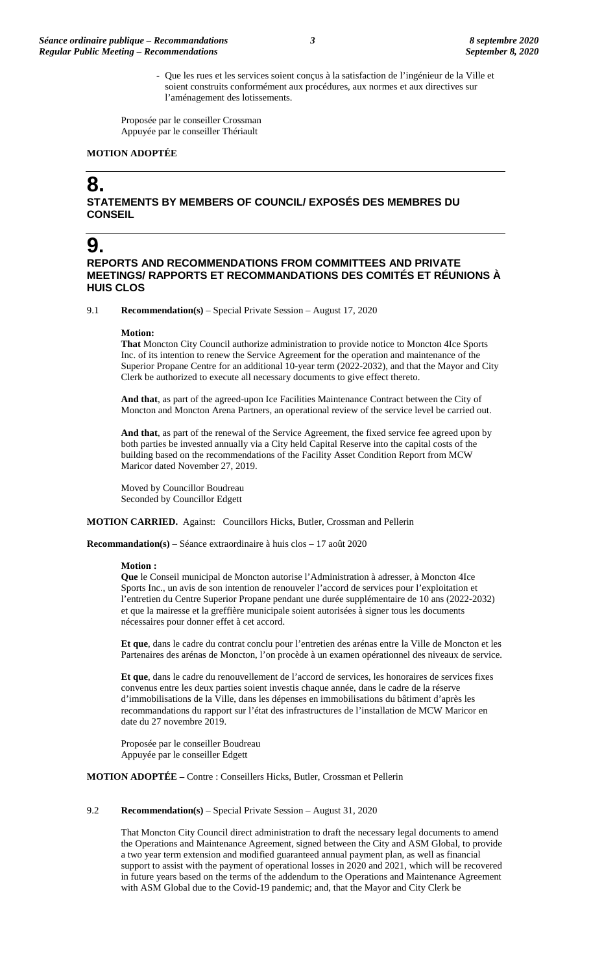- Que les rues et les services soient conçus à la satisfaction de l'ingénieur de la Ville et soient construits conformément aux procédures, aux normes et aux directives sur l'aménagement des lotissements.

Proposée par le conseiller Crossman Appuyée par le conseiller Thériault

### **MOTION ADOPTÉE**

# **8.**

**STATEMENTS BY MEMBERS OF COUNCIL/ EXPOSÉS DES MEMBRES DU CONSEIL**

# **9.**

**REPORTS AND RECOMMENDATIONS FROM COMMITTEES AND PRIVATE MEETINGS/ RAPPORTS ET RECOMMANDATIONS DES COMITÉS ET RÉUNIONS À HUIS CLOS**

9.1 **Recommendation(s)** – Special Private Session – August 17, 2020

#### **Motion:**

**That** Moncton City Council authorize administration to provide notice to Moncton 4Ice Sports Inc. of its intention to renew the Service Agreement for the operation and maintenance of the Superior Propane Centre for an additional 10-year term (2022-2032), and that the Mayor and City Clerk be authorized to execute all necessary documents to give effect thereto.

**And that**, as part of the agreed-upon Ice Facilities Maintenance Contract between the City of Moncton and Moncton Arena Partners, an operational review of the service level be carried out.

**And that**, as part of the renewal of the Service Agreement, the fixed service fee agreed upon by both parties be invested annually via a City held Capital Reserve into the capital costs of the building based on the recommendations of the Facility Asset Condition Report from MCW Maricor dated November 27, 2019.

Moved by Councillor Boudreau Seconded by Councillor Edgett

**MOTION CARRIED.** Against: Councillors Hicks, Butler, Crossman and Pellerin

**Recommandation(s)** – Séance extraordinaire à huis clos – 17 août 2020

#### **Motion :**

**Que** le Conseil municipal de Moncton autorise l'Administration à adresser, à Moncton 4Ice Sports Inc., un avis de son intention de renouveler l'accord de services pour l'exploitation et l'entretien du Centre Superior Propane pendant une durée supplémentaire de 10 ans (2022-2032) et que la mairesse et la greffière municipale soient autorisées à signer tous les documents nécessaires pour donner effet à cet accord.

**Et que**, dans le cadre du contrat conclu pour l'entretien des arénas entre la Ville de Moncton et les Partenaires des arénas de Moncton, l'on procède à un examen opérationnel des niveaux de service.

**Et que**, dans le cadre du renouvellement de l'accord de services, les honoraires de services fixes convenus entre les deux parties soient investis chaque année, dans le cadre de la réserve d'immobilisations de la Ville, dans les dépenses en immobilisations du bâtiment d'après les recommandations du rapport sur l'état des infrastructures de l'installation de MCW Maricor en date du 27 novembre 2019.

Proposée par le conseiller Boudreau Appuyée par le conseiller Edgett

**MOTION ADOPTÉE –** Contre : Conseillers Hicks, Butler, Crossman et Pellerin

#### 9.2 **Recommendation(s)** – Special Private Session – August 31, 2020

That Moncton City Council direct administration to draft the necessary legal documents to amend the Operations and Maintenance Agreement, signed between the City and ASM Global, to provide a two year term extension and modified guaranteed annual payment plan, as well as financial support to assist with the payment of operational losses in 2020 and 2021, which will be recovered in future years based on the terms of the addendum to the Operations and Maintenance Agreement with ASM Global due to the Covid-19 pandemic; and, that the Mayor and City Clerk be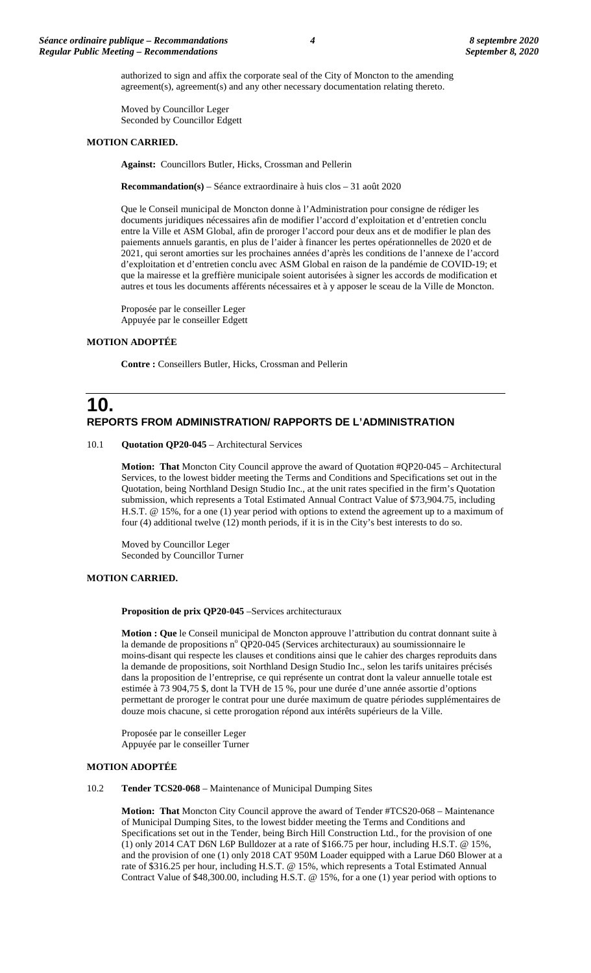authorized to sign and affix the corporate seal of the City of Moncton to the amending agreement(s), agreement(s) and any other necessary documentation relating thereto.

Moved by Councillor Leger Seconded by Councillor Edgett

#### **MOTION CARRIED.**

**Against:** Councillors Butler, Hicks, Crossman and Pellerin

**Recommandation(s)** – Séance extraordinaire à huis clos – 31 août 2020

Que le Conseil municipal de Moncton donne à l'Administration pour consigne de rédiger les documents juridiques nécessaires afin de modifier l'accord d'exploitation et d'entretien conclu entre la Ville et ASM Global, afin de proroger l'accord pour deux ans et de modifier le plan des paiements annuels garantis, en plus de l'aider à financer les pertes opérationnelles de 2020 et de 2021, qui seront amorties sur les prochaines années d'après les conditions de l'annexe de l'accord d'exploitation et d'entretien conclu avec ASM Global en raison de la pandémie de COVID-19; et que la mairesse et la greffière municipale soient autorisées à signer les accords de modification et autres et tous les documents afférents nécessaires et à y apposer le sceau de la Ville de Moncton.

Proposée par le conseiller Leger Appuyée par le conseiller Edgett

### **MOTION ADOPTÉE**

**Contre :** Conseillers Butler, Hicks, Crossman and Pellerin

# **10. REPORTS FROM ADMINISTRATION/ RAPPORTS DE L'ADMINISTRATION**

10.1 **Quotation QP20-045** – Architectural Services

**Motion: That** Moncton City Council approve the award of Quotation #QP20-045 – Architectural Services, to the lowest bidder meeting the Terms and Conditions and Specifications set out in the Quotation, being Northland Design Studio Inc., at the unit rates specified in the firm's Quotation submission, which represents a Total Estimated Annual Contract Value of \$73,904.75, including H.S.T. @ 15%, for a one (1) year period with options to extend the agreement up to a maximum of four (4) additional twelve (12) month periods, if it is in the City's best interests to do so.

Moved by Councillor Leger Seconded by Councillor Turner

### **MOTION CARRIED.**

Proposition de prix QP20-045 –Services architecturaux

**Motion : Que** le Conseil municipal de Moncton approuve l'attribution du contrat donnant suite à la demande de propositions nº QP20-045 (Services architecturaux) au soumissionnaire le moins-disant qui respecte les clauses et conditions ainsi que le cahier des charges reproduits dans la demande de propositions, soit Northland Design Studio Inc., selon les tarifs unitaires précisés dans la proposition de l'entreprise, ce qui représente un contrat dont la valeur annuelle totale est estimée à 73 904,75 \$, dont la TVH de 15 %, pour une durée d'une année assortie d'options permettant de proroger le contrat pour une durée maximum de quatre périodes supplémentaires de douze mois chacune, si cette prorogation répond aux intérêts supérieurs de la Ville.

Proposée par le conseiller Leger Appuyée par le conseiller Turner

### **MOTION ADOPTÉE**

10.2 **Tender TCS20-068** – Maintenance of Municipal Dumping Sites

**Motion: That** Moncton City Council approve the award of Tender #TCS20-068 – Maintenance of Municipal Dumping Sites, to the lowest bidder meeting the Terms and Conditions and Specifications set out in the Tender, being Birch Hill Construction Ltd., for the provision of one (1) only 2014 CAT D6N L6P Bulldozer at a rate of \$166.75 per hour, including H.S.T. @ 15%, and the provision of one (1) only 2018 CAT 950M Loader equipped with a Larue D60 Blower at a rate of \$316.25 per hour, including H.S.T. @ 15%, which represents a Total Estimated Annual Contract Value of \$48,300.00, including H.S.T. @ 15%, for a one (1) year period with options to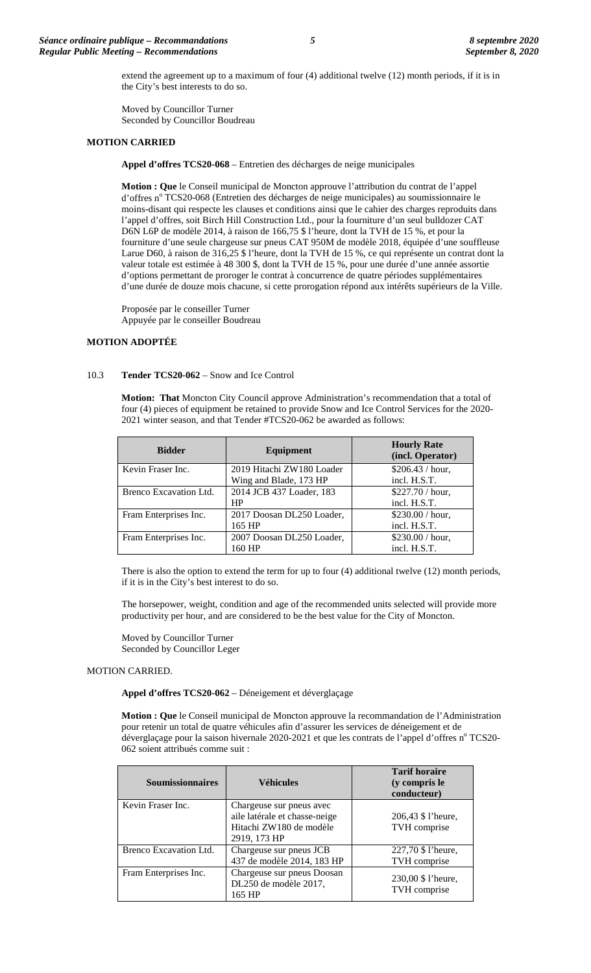extend the agreement up to a maximum of four (4) additional twelve (12) month periods, if it is in the City's best interests to do so.

Moved by Councillor Turner Seconded by Councillor Boudreau

### **MOTION CARRIED**

**Appel d'offres TCS20-068** – Entretien des décharges de neige municipales

**Motion : Que** le Conseil municipal de Moncton approuve l'attribution du contrat de l'appel d'offres n° TCS20-068 (Entretien des décharges de neige municipales) au soumissionnaire le moins-disant qui respecte les clauses et conditions ainsi que le cahier des charges reproduits dans l'appel d'offres, soit Birch Hill Construction Ltd., pour la fourniture d'un seul bulldozer CAT D6N L6P de modèle 2014, à raison de 166,75 \$ l'heure, dont la TVH de 15 %, et pour la fourniture d'une seule chargeuse sur pneus CAT 950M de modèle 2018, équipée d'une souffleuse Larue D60, à raison de 316,25 \$ l'heure, dont la TVH de 15 %, ce qui représente un contrat dont la valeur totale est estimée à 48 300 \$, dont la TVH de 15 %, pour une durée d'une année assortie d'options permettant de proroger le contrat à concurrence de quatre périodes supplémentaires d'une durée de douze mois chacune, si cette prorogation répond aux intérêts supérieurs de la Ville.

Proposée par le conseiller Turner Appuyée par le conseiller Boudreau

## **MOTION ADOPTÉE**

#### 10.3 **Tender TCS20-062** – Snow and Ice Control

**Motion: That** Moncton City Council approve Administration's recommendation that a total of four (4) pieces of equipment be retained to provide Snow and Ice Control Services for the 2020- 2021 winter season, and that Tender #TCS20-062 be awarded as follows:

| <b>Bidder</b>          | Equipment                 | <b>Hourly Rate</b><br>(incl. Operator) |
|------------------------|---------------------------|----------------------------------------|
| Kevin Fraser Inc.      | 2019 Hitachi ZW180 Loader | \$206.43 / hour,                       |
|                        | Wing and Blade, 173 HP    | incl. H.S.T.                           |
| Brenco Excavation Ltd. | 2014 JCB 437 Loader, 183  | \$227.70 / hour,                       |
|                        | HP                        | incl. H.S.T.                           |
| Fram Enterprises Inc.  | 2017 Doosan DL250 Loader, | \$230.00 / hour,                       |
|                        | 165 HP                    | incl. H.S.T.                           |
| Fram Enterprises Inc.  | 2007 Doosan DL250 Loader, | \$230.00 / hour,                       |
|                        | 160 HP                    | incl. H.S.T.                           |

There is also the option to extend the term for up to four (4) additional twelve (12) month periods, if it is in the City's best interest to do so.

The horsepower, weight, condition and age of the recommended units selected will provide more productivity per hour, and are considered to be the best value for the City of Moncton.

Moved by Councillor Turner Seconded by Councillor Leger

### MOTION CARRIED.

**Appel d'offres TCS20-062** – Déneigement et déverglaçage

**Motion : Que** le Conseil municipal de Moncton approuve la recommandation de l'Administration pour retenir un total de quatre véhicules afin d'assurer les services de déneigement et de déverglaçage pour la saison hivernale 2020-2021 et que les contrats de l'appel d'offres n° TCS20-062 soient attribués comme suit :

| <b>Soumissionnaires</b> | <b>Véhicules</b>                                                                                     | <b>Tarif horaire</b><br>(y compris le<br>conducteur) |
|-------------------------|------------------------------------------------------------------------------------------------------|------------------------------------------------------|
| Kevin Fraser Inc.       | Chargeuse sur pneus avec<br>aile latérale et chasse-neige<br>Hitachi ZW180 de modèle<br>2919, 173 HP | 206,43 \$ l'heure,<br>TVH comprise                   |
| Brenco Excavation Ltd.  | Chargeuse sur pneus JCB<br>437 de modèle 2014, 183 HP                                                | 227,70 \$ l'heure,<br>TVH comprise                   |
| Fram Enterprises Inc.   | Chargeuse sur pneus Doosan<br>DL250 de modèle 2017,<br>165 HP                                        | 230,00 \$ l'heure,<br>TVH comprise                   |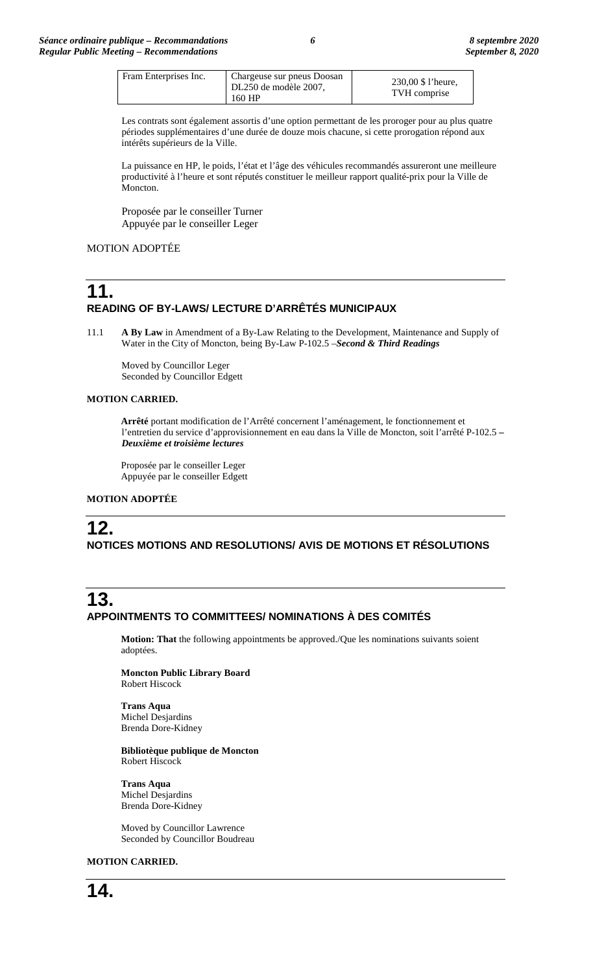| Fram Enterprises Inc. | Chargeuse sur pneus Doosan<br>DL250 de modèle 2007,<br>160 HP | 230,00 \$ 1'heure,<br>TVH comprise |
|-----------------------|---------------------------------------------------------------|------------------------------------|
|-----------------------|---------------------------------------------------------------|------------------------------------|

Les contrats sont également assortis d'une option permettant de les proroger pour au plus quatre périodes supplémentaires d'une durée de douze mois chacune, si cette prorogation répond aux intérêts supérieurs de la Ville.

La puissance en HP, le poids, l'état et l'âge des véhicules recommandés assureront une meilleure productivité à l'heure et sont réputés constituer le meilleur rapport qualité-prix pour la Ville de Moncton.

Proposée par le conseiller Turner Appuyée par le conseiller Leger

## MOTION ADOPTÉE

# **11. READING OF BY-LAWS/ LECTURE D'ARRÊTÉS MUNICIPAUX**

11.1 **A By Law** in Amendment of a By-Law Relating to the Development, Maintenance and Supply of Water in the City of Moncton, being By-Law P-102.5 –*Second & Third Readings*

Moved by Councillor Leger Seconded by Councillor Edgett

### **MOTION CARRIED.**

**Arrêté** portant modification de l'Arrêté concernent l'aménagement, le fonctionnement et l'entretien du service d'approvisionnement en eau dans la Ville de Moncton, soit l'arrêté P-102.5 **–** *Deuxième et troisième lectures*

Proposée par le conseiller Leger Appuyée par le conseiller Edgett

### **MOTION ADOPTÉE**

# **12. NOTICES MOTIONS AND RESOLUTIONS/ AVIS DE MOTIONS ET RÉSOLUTIONS**

# **13. APPOINTMENTS TO COMMITTEES/ NOMINATIONS À DES COMITÉS**

**Motion: That** the following appointments be approved./Que les nominations suivants soient adoptées.

**Moncton Public Library Board** Robert Hiscock

**Trans Aqua** Michel Desjardins Brenda Dore-Kidney

#### **Bibliotèque publique de Moncton** Robert Hiscock

**Trans Aqua** Michel Desjardins Brenda Dore-Kidney

Moved by Councillor Lawrence Seconded by Councillor Boudreau

### **MOTION CARRIED.**